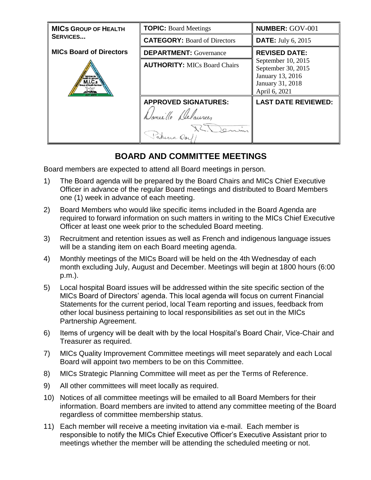| <b>MICS GROUP OF HEALTH</b><br><b>SERVICES</b> | <b>TOPIC:</b> Board Meetings                      | <b>NUMBER: GOV-001</b>                                                                            |
|------------------------------------------------|---------------------------------------------------|---------------------------------------------------------------------------------------------------|
|                                                | <b>CATEGORY: Board of Directors</b>               | <b>DATE:</b> July 6, 2015                                                                         |
| <b>MICs Board of Directors</b>                 | <b>DEPARTMENT: Governance</b>                     | <b>REVISED DATE:</b>                                                                              |
| Services de<br>anté du aroup                   | <b>AUTHORITY: MICs Board Chairs</b>               | September 10, 2015<br>September 30, 2015<br>January 13, 2016<br>January 31, 2018<br>April 6, 2021 |
|                                                | <b>APPROVED SIGNATURES:</b><br>Daniello Delaurees | <b>LAST DATE REVIEWED:</b>                                                                        |

## **BOARD AND COMMITTEE MEETINGS**

Board members are expected to attend all Board meetings in person.

- 1) The Board agenda will be prepared by the Board Chairs and MICs Chief Executive Officer in advance of the regular Board meetings and distributed to Board Members one (1) week in advance of each meeting.
- 2) Board Members who would like specific items included in the Board Agenda are required to forward information on such matters in writing to the MICs Chief Executive Officer at least one week prior to the scheduled Board meeting.
- 3) Recruitment and retention issues as well as French and indigenous language issues will be a standing item on each Board meeting agenda.
- 4) Monthly meetings of the MICs Board will be held on the 4th Wednesday of each month excluding July, August and December. Meetings will begin at 1800 hours (6:00 p.m.).
- 5) Local hospital Board issues will be addressed within the site specific section of the MICs Board of Directors' agenda. This local agenda will focus on current Financial Statements for the current period, local Team reporting and issues, feedback from other local business pertaining to local responsibilities as set out in the MICs Partnership Agreement.
- 6) Items of urgency will be dealt with by the local Hospital's Board Chair, Vice-Chair and Treasurer as required.
- 7) MICs Quality Improvement Committee meetings will meet separately and each Local Board will appoint two members to be on this Committee.
- 8) MICs Strategic Planning Committee will meet as per the Terms of Reference.
- 9) All other committees will meet locally as required.
- 10) Notices of all committee meetings will be emailed to all Board Members for their information. Board members are invited to attend any committee meeting of the Board regardless of committee membership status.
- 11) Each member will receive a meeting invitation via e-mail. Each member is responsible to notify the MICs Chief Executive Officer's Executive Assistant prior to meetings whether the member will be attending the scheduled meeting or not.